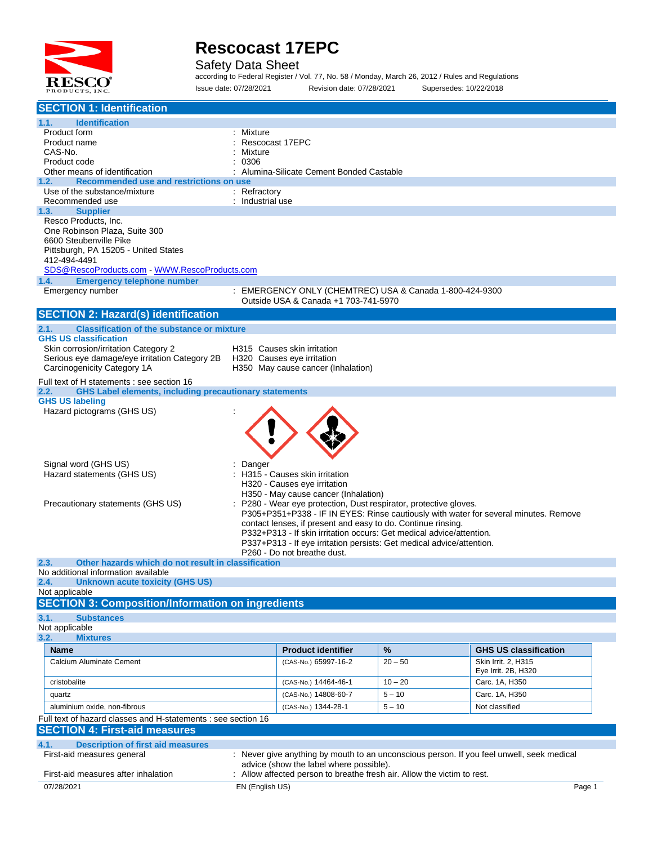

Safety Data Sheet

according to Federal Register / Vol. 77, No. 58 / Monday, March 26, 2012 / Rules and Regulations Issue date: 07/28/2021 Revision date: 07/28/2021 Supersedes: 10/22/2018

| <b>SECTION 1: Identification</b>                                                      |                                                                                                      |           |                                                                                           |
|---------------------------------------------------------------------------------------|------------------------------------------------------------------------------------------------------|-----------|-------------------------------------------------------------------------------------------|
| 1.1.<br><b>Identification</b>                                                         |                                                                                                      |           |                                                                                           |
| Product form                                                                          | Mixture                                                                                              |           |                                                                                           |
| Product name                                                                          | Rescocast 17EPC                                                                                      |           |                                                                                           |
| CAS-No.<br>Product code                                                               | Mixture<br>0306                                                                                      |           |                                                                                           |
| Other means of identification                                                         | Alumina-Silicate Cement Bonded Castable                                                              |           |                                                                                           |
| Recommended use and restrictions on use<br>1.2.                                       |                                                                                                      |           |                                                                                           |
| Use of the substance/mixture                                                          | : Refractory                                                                                         |           |                                                                                           |
| Recommended use                                                                       | : Industrial use                                                                                     |           |                                                                                           |
| <b>Supplier</b><br>1.3.<br>Resco Products, Inc.                                       |                                                                                                      |           |                                                                                           |
| One Robinson Plaza, Suite 300                                                         |                                                                                                      |           |                                                                                           |
| 6600 Steubenville Pike                                                                |                                                                                                      |           |                                                                                           |
| Pittsburgh, PA 15205 - United States                                                  |                                                                                                      |           |                                                                                           |
| 412-494-4491<br>SDS@RescoProducts.com WWW.RescoProducts.com                           |                                                                                                      |           |                                                                                           |
| <b>Emergency telephone number</b><br>1.4.                                             |                                                                                                      |           |                                                                                           |
| Emergency number                                                                      | : EMERGENCY ONLY (CHEMTREC) USA & Canada 1-800-424-9300                                              |           |                                                                                           |
|                                                                                       | Outside USA & Canada +1 703-741-5970                                                                 |           |                                                                                           |
| <b>SECTION 2: Hazard(s) identification</b>                                            |                                                                                                      |           |                                                                                           |
| <b>Classification of the substance or mixture</b><br>2.1.                             |                                                                                                      |           |                                                                                           |
| <b>GHS US classification</b>                                                          |                                                                                                      |           |                                                                                           |
| Skin corrosion/irritation Category 2<br>Serious eye damage/eye irritation Category 2B | H315 Causes skin irritation<br>H320 Causes eye irritation                                            |           |                                                                                           |
| Carcinogenicity Category 1A                                                           | H350 May cause cancer (Inhalation)                                                                   |           |                                                                                           |
| Full text of H statements : see section 16                                            |                                                                                                      |           |                                                                                           |
| <b>GHS Label elements, including precautionary statements</b><br>2.2.                 |                                                                                                      |           |                                                                                           |
| <b>GHS US labeling</b>                                                                |                                                                                                      |           |                                                                                           |
| Hazard pictograms (GHS US)                                                            |                                                                                                      |           |                                                                                           |
|                                                                                       |                                                                                                      |           |                                                                                           |
|                                                                                       |                                                                                                      |           |                                                                                           |
|                                                                                       |                                                                                                      |           |                                                                                           |
| Signal word (GHS US)                                                                  | Danger                                                                                               |           |                                                                                           |
| Hazard statements (GHS US)                                                            | H315 - Causes skin irritation                                                                        |           |                                                                                           |
|                                                                                       | H320 - Causes eye irritation<br>H350 - May cause cancer (Inhalation)                                 |           |                                                                                           |
| Precautionary statements (GHS US)                                                     | P280 - Wear eye protection, Dust respirator, protective gloves.                                      |           |                                                                                           |
|                                                                                       |                                                                                                      |           | P305+P351+P338 - IF IN EYES: Rinse cautiously with water for several minutes. Remove      |
|                                                                                       | contact lenses, if present and easy to do. Continue rinsing.                                         |           |                                                                                           |
|                                                                                       | P332+P313 - If skin irritation occurs: Get medical advice/attention.                                 |           |                                                                                           |
|                                                                                       | P337+P313 - If eye irritation persists: Get medical advice/attention.<br>P260 - Do not breathe dust. |           |                                                                                           |
| 2.3.<br>Other hazards which do not result in classification                           |                                                                                                      |           |                                                                                           |
| No additional information available                                                   |                                                                                                      |           |                                                                                           |
| 2.4.<br>Unknown acute toxicity (GHS US)                                               |                                                                                                      |           |                                                                                           |
| Not applicable<br><b>SECTION 3: Composition/Information on ingredients</b>            |                                                                                                      |           |                                                                                           |
| 3.1.<br><b>Substances</b>                                                             |                                                                                                      |           |                                                                                           |
| Not applicable                                                                        |                                                                                                      |           |                                                                                           |
| 3.2.<br><b>Mixtures</b>                                                               |                                                                                                      |           |                                                                                           |
| <b>Name</b>                                                                           | <b>Product identifier</b>                                                                            | %         | <b>GHS US classification</b>                                                              |
| Calcium Aluminate Cement                                                              | (CAS-No.) 65997-16-2                                                                                 | $20 - 50$ | Skin Irrit. 2, H315                                                                       |
|                                                                                       |                                                                                                      |           | Eye Irrit. 2B, H320                                                                       |
| cristobalite                                                                          | (CAS-No.) 14464-46-1                                                                                 | $10 - 20$ | Carc. 1A, H350                                                                            |
| quartz                                                                                | (CAS-No.) 14808-60-7                                                                                 | $5 - 10$  | Carc. 1A, H350                                                                            |
| aluminium oxide, non-fibrous                                                          | (CAS-No.) 1344-28-1                                                                                  | $5 - 10$  | Not classified                                                                            |
| Full text of hazard classes and H-statements : see section 16                         |                                                                                                      |           |                                                                                           |
| <b>SECTION 4: First-aid measures</b>                                                  |                                                                                                      |           |                                                                                           |
| 4.1.<br><b>Description of first aid measures</b>                                      |                                                                                                      |           |                                                                                           |
| First-aid measures general                                                            | advice (show the label where possible).                                                              |           | : Never give anything by mouth to an unconscious person. If you feel unwell, seek medical |
| First-aid measures after inhalation                                                   | : Allow affected person to breathe fresh air. Allow the victim to rest.                              |           |                                                                                           |
| 07/28/2021                                                                            | EN (English US)                                                                                      |           | Page 1                                                                                    |
|                                                                                       |                                                                                                      |           |                                                                                           |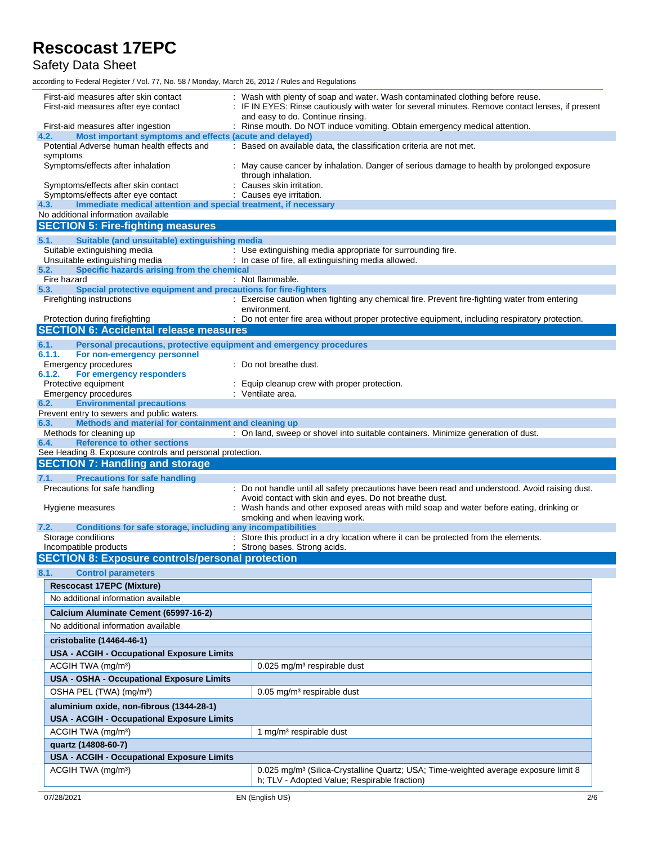### Safety Data Sheet

| First-aid measures after skin contact<br>First-aid measures after eye contact                                 | : Wash with plenty of soap and water. Wash contaminated clothing before reuse.<br>: IF IN EYES: Rinse cautiously with water for several minutes. Remove contact lenses, if present<br>and easy to do. Continue rinsing. |
|---------------------------------------------------------------------------------------------------------------|-------------------------------------------------------------------------------------------------------------------------------------------------------------------------------------------------------------------------|
| First-aid measures after ingestion                                                                            | : Rinse mouth. Do NOT induce vomiting. Obtain emergency medical attention.                                                                                                                                              |
| Most important symptoms and effects (acute and delayed)<br>4.2.<br>Potential Adverse human health effects and | : Based on available data, the classification criteria are not met.                                                                                                                                                     |
| symptoms                                                                                                      |                                                                                                                                                                                                                         |
| Symptoms/effects after inhalation                                                                             | : May cause cancer by inhalation. Danger of serious damage to health by prolonged exposure<br>through inhalation.                                                                                                       |
| Symptoms/effects after skin contact<br>Symptoms/effects after eye contact                                     | Causes skin irritation.<br>: Causes eye irritation.                                                                                                                                                                     |
| Immediate medical attention and special treatment, if necessary<br>4.3.                                       |                                                                                                                                                                                                                         |
| No additional information available                                                                           |                                                                                                                                                                                                                         |
| <b>SECTION 5: Fire-fighting measures</b>                                                                      |                                                                                                                                                                                                                         |
| Suitable (and unsuitable) extinguishing media<br>5.1.                                                         |                                                                                                                                                                                                                         |
| Suitable extinguishing media<br>Unsuitable extinguishing media                                                | : Use extinguishing media appropriate for surrounding fire.<br>: In case of fire, all extinguishing media allowed.                                                                                                      |
| Specific hazards arising from the chemical<br>5.2.                                                            |                                                                                                                                                                                                                         |
| Fire hazard                                                                                                   | : Not flammable.                                                                                                                                                                                                        |
| Special protective equipment and precautions for fire-fighters<br>5.3.                                        |                                                                                                                                                                                                                         |
| Firefighting instructions                                                                                     | : Exercise caution when fighting any chemical fire. Prevent fire-fighting water from entering<br>environment.                                                                                                           |
| Protection during firefighting                                                                                | : Do not enter fire area without proper protective equipment, including respiratory protection.                                                                                                                         |
| <b>SECTION 6: Accidental release measures</b>                                                                 |                                                                                                                                                                                                                         |
| 6.1.<br>Personal precautions, protective equipment and emergency procedures                                   |                                                                                                                                                                                                                         |
| 6.1.1.<br>For non-emergency personnel<br>Emergency procedures                                                 | : Do not breathe dust.                                                                                                                                                                                                  |
| 6.1.2.<br>For emergency responders                                                                            |                                                                                                                                                                                                                         |
| Protective equipment                                                                                          | Equip cleanup crew with proper protection.                                                                                                                                                                              |
| Emergency procedures                                                                                          | : Ventilate area.                                                                                                                                                                                                       |
| <b>Environmental precautions</b><br>6.2.<br>Prevent entry to sewers and public waters.                        |                                                                                                                                                                                                                         |
| Methods and material for containment and cleaning up<br>6.3.                                                  |                                                                                                                                                                                                                         |
| Methods for cleaning up                                                                                       | : On land, sweep or shovel into suitable containers. Minimize generation of dust.                                                                                                                                       |
| <b>Reference to other sections</b><br>6.4.<br>See Heading 8. Exposure controls and personal protection.       |                                                                                                                                                                                                                         |
| <b>SECTION 7: Handling and storage</b>                                                                        |                                                                                                                                                                                                                         |
| 7.1.<br><b>Precautions for safe handling</b>                                                                  |                                                                                                                                                                                                                         |
| Precautions for safe handling                                                                                 | : Do not handle until all safety precautions have been read and understood. Avoid raising dust.                                                                                                                         |
|                                                                                                               | Avoid contact with skin and eyes. Do not breathe dust.                                                                                                                                                                  |
| Hygiene measures                                                                                              | : Wash hands and other exposed areas with mild soap and water before eating, drinking or<br>smoking and when leaving work.                                                                                              |
| Conditions for safe storage, including any incompatibilities<br>7.2.                                          |                                                                                                                                                                                                                         |
| Storage conditions                                                                                            | : Store this product in a dry location where it can be protected from the elements.                                                                                                                                     |
| Incompatible products                                                                                         | : Strong bases. Strong acids.                                                                                                                                                                                           |
| <b>SECTION 8: Exposure controls/personal protection</b>                                                       |                                                                                                                                                                                                                         |
| <b>Control parameters</b><br>8.1.                                                                             |                                                                                                                                                                                                                         |
| <b>Rescocast 17EPC (Mixture)</b>                                                                              |                                                                                                                                                                                                                         |
| No additional information available                                                                           |                                                                                                                                                                                                                         |
| Calcium Aluminate Cement (65997-16-2)                                                                         |                                                                                                                                                                                                                         |
| No additional information available                                                                           |                                                                                                                                                                                                                         |
| cristobalite (14464-46-1)                                                                                     |                                                                                                                                                                                                                         |
| <b>USA - ACGIH - Occupational Exposure Limits</b>                                                             |                                                                                                                                                                                                                         |
| ACGIH TWA (mg/m <sup>3</sup> )                                                                                | 0.025 mg/m <sup>3</sup> respirable dust                                                                                                                                                                                 |
| USA - OSHA - Occupational Exposure Limits                                                                     |                                                                                                                                                                                                                         |
| OSHA PEL (TWA) (mg/m <sup>3</sup> )                                                                           | 0.05 mg/m <sup>3</sup> respirable dust                                                                                                                                                                                  |
| aluminium oxide, non-fibrous (1344-28-1)                                                                      |                                                                                                                                                                                                                         |
| <b>USA - ACGIH - Occupational Exposure Limits</b>                                                             |                                                                                                                                                                                                                         |
| ACGIH TWA (mg/m <sup>3</sup> )                                                                                |                                                                                                                                                                                                                         |
|                                                                                                               |                                                                                                                                                                                                                         |
|                                                                                                               | 1 mg/m <sup>3</sup> respirable dust                                                                                                                                                                                     |
| quartz (14808-60-7)                                                                                           |                                                                                                                                                                                                                         |
| <b>USA - ACGIH - Occupational Exposure Limits</b>                                                             |                                                                                                                                                                                                                         |
| ACGIH TWA (mg/m <sup>3</sup> )                                                                                | 0.025 mg/m <sup>3</sup> (Silica-Crystalline Quartz; USA; Time-weighted average exposure limit 8<br>h; TLV - Adopted Value; Respirable fraction)                                                                         |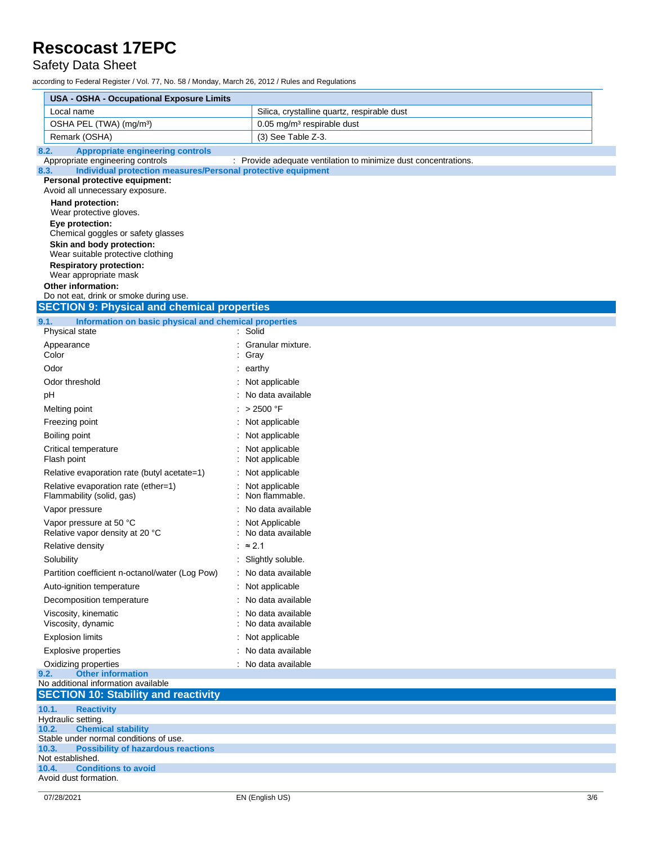### Safety Data Sheet

| USA - OSHA - Occupational Exposure Limits                                                                                                                                                                                                               |                                                                 |
|---------------------------------------------------------------------------------------------------------------------------------------------------------------------------------------------------------------------------------------------------------|-----------------------------------------------------------------|
| Local name                                                                                                                                                                                                                                              | Silica, crystalline quartz, respirable dust                     |
| OSHA PEL (TWA) (mg/m <sup>3</sup> )                                                                                                                                                                                                                     | $0.05$ mg/m <sup>3</sup> respirable dust                        |
| Remark (OSHA)                                                                                                                                                                                                                                           | (3) See Table Z-3.                                              |
| <b>Appropriate engineering controls</b><br>8.2.                                                                                                                                                                                                         |                                                                 |
| Appropriate engineering controls<br>Individual protection measures/Personal protective equipment<br>8.3.                                                                                                                                                | : Provide adequate ventilation to minimize dust concentrations. |
| Personal protective equipment:<br>Avoid all unnecessary exposure.                                                                                                                                                                                       |                                                                 |
| Hand protection:<br>Wear protective gloves.<br>Eye protection:<br>Chemical goggles or safety glasses<br>Skin and body protection:<br>Wear suitable protective clothing<br><b>Respiratory protection:</b><br>Wear appropriate mask<br>Other information: |                                                                 |
| Do not eat, drink or smoke during use.                                                                                                                                                                                                                  |                                                                 |
| <b>SECTION 9: Physical and chemical properties</b>                                                                                                                                                                                                      |                                                                 |
| 9.1.<br>Information on basic physical and chemical properties<br>Physical state                                                                                                                                                                         | Solid                                                           |
| Appearance                                                                                                                                                                                                                                              | Granular mixture.                                               |
| Color                                                                                                                                                                                                                                                   | Gray                                                            |
| Odor                                                                                                                                                                                                                                                    | : earthy                                                        |
| Odor threshold                                                                                                                                                                                                                                          | : Not applicable                                                |
| pH                                                                                                                                                                                                                                                      | No data available                                               |
| Melting point                                                                                                                                                                                                                                           | : > 2500 °F                                                     |
| Freezing point                                                                                                                                                                                                                                          | : Not applicable                                                |
| Boiling point                                                                                                                                                                                                                                           | : Not applicable                                                |
| Critical temperature<br>Flash point                                                                                                                                                                                                                     | Not applicable<br>Not applicable                                |
| Relative evaporation rate (butyl acetate=1)                                                                                                                                                                                                             | : Not applicable                                                |
| Relative evaporation rate (ether=1)<br>Flammability (solid, gas)                                                                                                                                                                                        | Not applicable<br>Non flammable.                                |
| Vapor pressure                                                                                                                                                                                                                                          | No data available                                               |
| Vapor pressure at 50 °C<br>Relative vapor density at 20 °C                                                                                                                                                                                              | Not Applicable<br>No data available                             |
| Relative density                                                                                                                                                                                                                                        | : $\approx$ 2.1                                                 |
| Solubility                                                                                                                                                                                                                                              | : Slightly soluble.                                             |
| Partition coefficient n-octanol/water (Log Pow)                                                                                                                                                                                                         | : No data available                                             |
| Auto-ignition temperature                                                                                                                                                                                                                               | : Not applicable                                                |
| Decomposition temperature                                                                                                                                                                                                                               | No data available                                               |
| Viscosity, kinematic<br>Viscosity, dynamic                                                                                                                                                                                                              | No data available<br>No data available                          |
| <b>Explosion limits</b>                                                                                                                                                                                                                                 | : Not applicable                                                |
| <b>Explosive properties</b>                                                                                                                                                                                                                             | : No data available                                             |
| Oxidizing properties                                                                                                                                                                                                                                    | : No data available                                             |
| 9.2.<br><b>Other information</b>                                                                                                                                                                                                                        |                                                                 |
| No additional information available<br><b>SECTION 10: Stability and reactivity</b>                                                                                                                                                                      |                                                                 |
| 10.1.<br><b>Reactivity</b>                                                                                                                                                                                                                              |                                                                 |
| Hydraulic setting.                                                                                                                                                                                                                                      |                                                                 |
| <b>Chemical stability</b><br>10.2.                                                                                                                                                                                                                      |                                                                 |
| Stable under normal conditions of use.<br>10.3.<br><b>Possibility of hazardous reactions</b>                                                                                                                                                            |                                                                 |
| Not established.                                                                                                                                                                                                                                        |                                                                 |
| <b>Conditions to avoid</b><br>10.4.<br>Avoid dust formation.                                                                                                                                                                                            |                                                                 |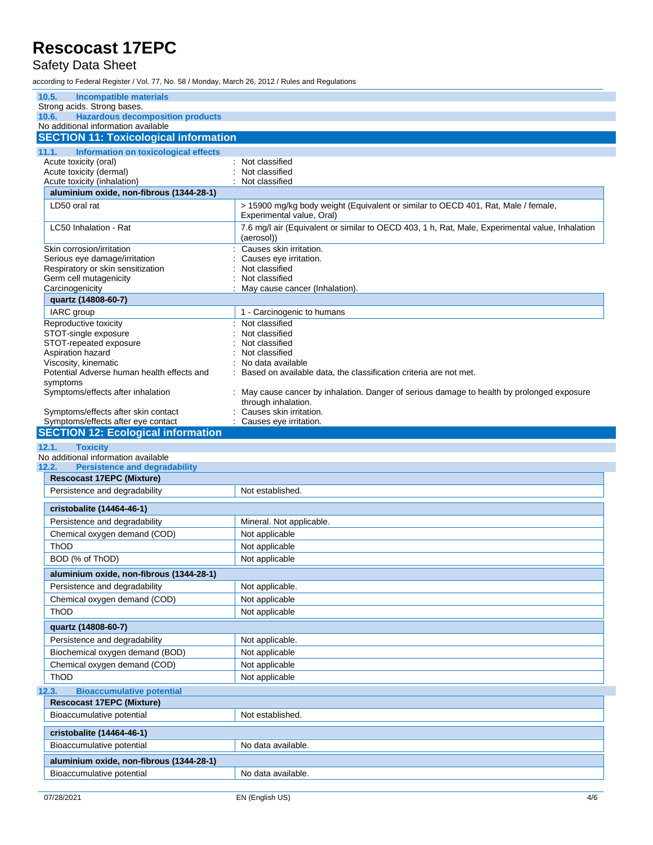### Safety Data Sheet

| 10.5.<br><b>Incompatible materials</b>                                                  |                                                                                                                 |
|-----------------------------------------------------------------------------------------|-----------------------------------------------------------------------------------------------------------------|
| Strong acids. Strong bases.                                                             |                                                                                                                 |
| <b>Hazardous decomposition products</b><br>10.6.<br>No additional information available |                                                                                                                 |
| <b>SECTION 11: Toxicological information</b>                                            |                                                                                                                 |
|                                                                                         |                                                                                                                 |
| Information on toxicological effects<br>11.1.<br>Acute toxicity (oral)                  | Not classified                                                                                                  |
| Acute toxicity (dermal)                                                                 | Not classified                                                                                                  |
| Acute toxicity (inhalation)                                                             | Not classified                                                                                                  |
| aluminium oxide, non-fibrous (1344-28-1)                                                |                                                                                                                 |
| LD50 oral rat                                                                           | > 15900 mg/kg body weight (Equivalent or similar to OECD 401, Rat, Male / female,<br>Experimental value, Oral)  |
| LC50 Inhalation - Rat                                                                   | 7.6 mg/l air (Equivalent or similar to OECD 403, 1 h, Rat, Male, Experimental value, Inhalation<br>(aerosol))   |
| Skin corrosion/irritation                                                               | Causes skin irritation.                                                                                         |
| Serious eye damage/irritation                                                           | Causes eye irritation.                                                                                          |
| Respiratory or skin sensitization<br>Germ cell mutagenicity                             | Not classified<br>Not classified                                                                                |
| Carcinogenicity                                                                         | May cause cancer (Inhalation).                                                                                  |
| quartz (14808-60-7)                                                                     |                                                                                                                 |
| IARC group                                                                              | 1 - Carcinogenic to humans                                                                                      |
| Reproductive toxicity                                                                   | : Not classified                                                                                                |
| STOT-single exposure                                                                    | Not classified                                                                                                  |
| STOT-repeated exposure                                                                  | Not classified                                                                                                  |
| Aspiration hazard<br>Viscosity, kinematic                                               | Not classified<br>No data available                                                                             |
| Potential Adverse human health effects and                                              | Based on available data, the classification criteria are not met.                                               |
| symptoms                                                                                |                                                                                                                 |
| Symptoms/effects after inhalation                                                       | May cause cancer by inhalation. Danger of serious damage to health by prolonged exposure<br>through inhalation. |
| Symptoms/effects after skin contact                                                     | Causes skin irritation.                                                                                         |
| Symptoms/effects after eye contact<br><b>SECTION 12: Ecological information</b>         | : Causes eye irritation.                                                                                        |
|                                                                                         |                                                                                                                 |
|                                                                                         |                                                                                                                 |
| 12.1.<br><b>Toxicity</b>                                                                |                                                                                                                 |
| No additional information available<br><b>Persistence and degradability</b><br>12.2.    |                                                                                                                 |
| <b>Rescocast 17EPC (Mixture)</b>                                                        |                                                                                                                 |
| Persistence and degradability                                                           | Not established.                                                                                                |
| cristobalite (14464-46-1)                                                               |                                                                                                                 |
| Persistence and degradability                                                           | Mineral. Not applicable.                                                                                        |
| Chemical oxygen demand (COD)                                                            | Not applicable                                                                                                  |
| <b>ThOD</b>                                                                             | Not applicable                                                                                                  |
| BOD (% of ThOD)                                                                         | Not applicable                                                                                                  |
|                                                                                         |                                                                                                                 |
| aluminium oxide, non-fibrous (1344-28-1)                                                |                                                                                                                 |
| Persistence and degradability                                                           | Not applicable.                                                                                                 |
| Chemical oxygen demand (COD)<br>ThOD                                                    | Not applicable<br>Not applicable                                                                                |
|                                                                                         |                                                                                                                 |
| quartz (14808-60-7)                                                                     |                                                                                                                 |
| Persistence and degradability                                                           | Not applicable.                                                                                                 |
| Biochemical oxygen demand (BOD)                                                         | Not applicable                                                                                                  |
| Chemical oxygen demand (COD)                                                            | Not applicable                                                                                                  |
| ThOD                                                                                    | Not applicable                                                                                                  |
| <b>Bioaccumulative potential</b><br>12.3.                                               |                                                                                                                 |
| <b>Rescocast 17EPC (Mixture)</b><br>Bioaccumulative potential                           | Not established.                                                                                                |
|                                                                                         |                                                                                                                 |
| cristobalite (14464-46-1)                                                               |                                                                                                                 |
| Bioaccumulative potential                                                               | No data available.                                                                                              |
| aluminium oxide, non-fibrous (1344-28-1)<br>Bioaccumulative potential                   | No data available.                                                                                              |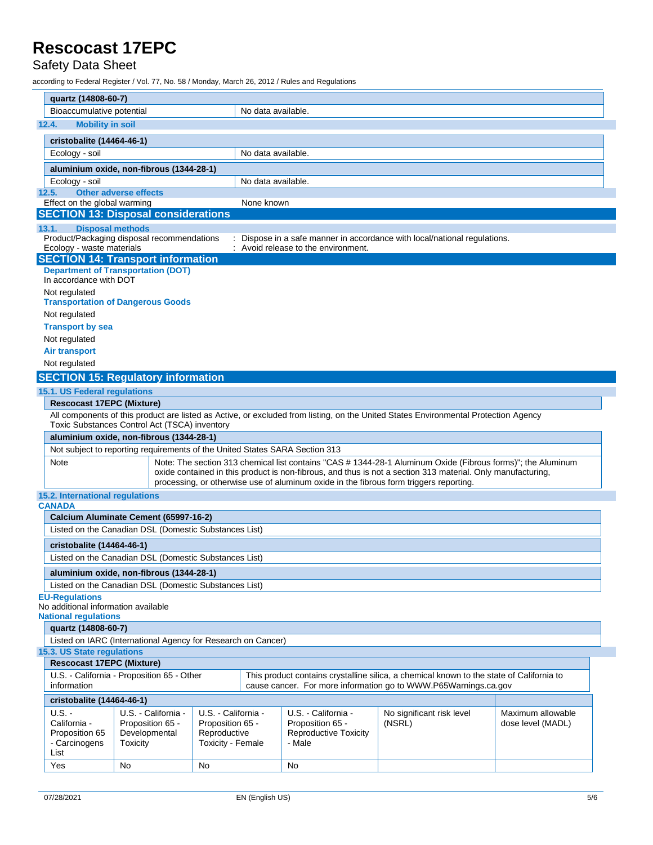### Safety Data Sheet

| quartz (14808-60-7)                                                                                                                                                                                                      |                                                              |                                   |                    |                                        |                                                                           |                   |
|--------------------------------------------------------------------------------------------------------------------------------------------------------------------------------------------------------------------------|--------------------------------------------------------------|-----------------------------------|--------------------|----------------------------------------|---------------------------------------------------------------------------|-------------------|
| Bioaccumulative potential                                                                                                                                                                                                |                                                              |                                   | No data available. |                                        |                                                                           |                   |
| <b>Mobility in soil</b><br>12.4.                                                                                                                                                                                         |                                                              |                                   |                    |                                        |                                                                           |                   |
| cristobalite (14464-46-1)                                                                                                                                                                                                |                                                              |                                   |                    |                                        |                                                                           |                   |
| Ecology - soil                                                                                                                                                                                                           |                                                              |                                   | No data available. |                                        |                                                                           |                   |
| aluminium oxide, non-fibrous (1344-28-1)                                                                                                                                                                                 |                                                              |                                   |                    |                                        |                                                                           |                   |
| Ecology - soil                                                                                                                                                                                                           |                                                              |                                   | No data available. |                                        |                                                                           |                   |
| 12.5.                                                                                                                                                                                                                    | <b>Other adverse effects</b>                                 |                                   |                    |                                        |                                                                           |                   |
| Effect on the global warming                                                                                                                                                                                             |                                                              |                                   | None known         |                                        |                                                                           |                   |
|                                                                                                                                                                                                                          | <b>SECTION 13: Disposal considerations</b>                   |                                   |                    |                                        |                                                                           |                   |
| <b>Disposal methods</b><br>13.1.                                                                                                                                                                                         |                                                              |                                   |                    |                                        |                                                                           |                   |
|                                                                                                                                                                                                                          | Product/Packaging disposal recommendations                   |                                   |                    |                                        | : Dispose in a safe manner in accordance with local/national regulations. |                   |
| Ecology - waste materials                                                                                                                                                                                                | <b>SECTION 14: Transport information</b>                     |                                   |                    | Avoid release to the environment.      |                                                                           |                   |
|                                                                                                                                                                                                                          | <b>Department of Transportation (DOT)</b>                    |                                   |                    |                                        |                                                                           |                   |
| In accordance with DOT                                                                                                                                                                                                   |                                                              |                                   |                    |                                        |                                                                           |                   |
| Not regulated                                                                                                                                                                                                            |                                                              |                                   |                    |                                        |                                                                           |                   |
|                                                                                                                                                                                                                          | <b>Transportation of Dangerous Goods</b>                     |                                   |                    |                                        |                                                                           |                   |
| Not regulated                                                                                                                                                                                                            |                                                              |                                   |                    |                                        |                                                                           |                   |
| <b>Transport by sea</b>                                                                                                                                                                                                  |                                                              |                                   |                    |                                        |                                                                           |                   |
| Not regulated                                                                                                                                                                                                            |                                                              |                                   |                    |                                        |                                                                           |                   |
| <b>Air transport</b>                                                                                                                                                                                                     |                                                              |                                   |                    |                                        |                                                                           |                   |
| Not regulated                                                                                                                                                                                                            |                                                              |                                   |                    |                                        |                                                                           |                   |
|                                                                                                                                                                                                                          | <b>SECTION 15: Regulatory information</b>                    |                                   |                    |                                        |                                                                           |                   |
| 15.1. US Federal regulations                                                                                                                                                                                             |                                                              |                                   |                    |                                        |                                                                           |                   |
| <b>Rescocast 17EPC (Mixture)</b>                                                                                                                                                                                         |                                                              |                                   |                    |                                        |                                                                           |                   |
| All components of this product are listed as Active, or excluded from listing, on the United States Environmental Protection Agency                                                                                      |                                                              |                                   |                    |                                        |                                                                           |                   |
| Toxic Substances Control Act (TSCA) inventory                                                                                                                                                                            |                                                              |                                   |                    |                                        |                                                                           |                   |
| aluminium oxide, non-fibrous (1344-28-1)                                                                                                                                                                                 |                                                              |                                   |                    |                                        |                                                                           |                   |
| Not subject to reporting requirements of the United States SARA Section 313                                                                                                                                              |                                                              |                                   |                    |                                        |                                                                           |                   |
| Note: The section 313 chemical list contains "CAS # 1344-28-1 Aluminum Oxide (Fibrous forms)"; the Aluminum<br>Note                                                                                                      |                                                              |                                   |                    |                                        |                                                                           |                   |
| oxide contained in this product is non-fibrous, and thus is not a section 313 material. Only manufacturing,<br>processing, or otherwise use of aluminum oxide in the fibrous form triggers reporting.                    |                                                              |                                   |                    |                                        |                                                                           |                   |
|                                                                                                                                                                                                                          |                                                              |                                   |                    |                                        |                                                                           |                   |
| 15.2. International regulations                                                                                                                                                                                          |                                                              |                                   |                    |                                        |                                                                           |                   |
| <b>CANADA</b>                                                                                                                                                                                                            |                                                              |                                   |                    |                                        |                                                                           |                   |
|                                                                                                                                                                                                                          | Calcium Aluminate Cement (65997-16-2)                        |                                   |                    |                                        |                                                                           |                   |
|                                                                                                                                                                                                                          | Listed on the Canadian DSL (Domestic Substances List)        |                                   |                    |                                        |                                                                           |                   |
| cristobalite (14464-46-1)                                                                                                                                                                                                |                                                              |                                   |                    |                                        |                                                                           |                   |
| Listed on the Canadian DSL (Domestic Substances List)                                                                                                                                                                    |                                                              |                                   |                    |                                        |                                                                           |                   |
| aluminium oxide, non-fibrous (1344-28-1)                                                                                                                                                                                 |                                                              |                                   |                    |                                        |                                                                           |                   |
|                                                                                                                                                                                                                          | Listed on the Canadian DSL (Domestic Substances List)        |                                   |                    |                                        |                                                                           |                   |
| <b>EU-Regulations</b>                                                                                                                                                                                                    |                                                              |                                   |                    |                                        |                                                                           |                   |
| No additional information available                                                                                                                                                                                      |                                                              |                                   |                    |                                        |                                                                           |                   |
| <b>National regulations</b>                                                                                                                                                                                              |                                                              |                                   |                    |                                        |                                                                           |                   |
| quartz (14808-60-7)                                                                                                                                                                                                      |                                                              |                                   |                    |                                        |                                                                           |                   |
|                                                                                                                                                                                                                          | Listed on IARC (International Agency for Research on Cancer) |                                   |                    |                                        |                                                                           |                   |
| 15.3. US State regulations                                                                                                                                                                                               |                                                              |                                   |                    |                                        |                                                                           |                   |
| <b>Rescocast 17EPC (Mixture)</b>                                                                                                                                                                                         |                                                              |                                   |                    |                                        |                                                                           |                   |
| U.S. - California - Proposition 65 - Other<br>This product contains crystalline silica, a chemical known to the state of California to<br>information<br>cause cancer. For more information go to WWW.P65Warnings.ca.gov |                                                              |                                   |                    |                                        |                                                                           |                   |
| cristobalite (14464-46-1)                                                                                                                                                                                                |                                                              |                                   |                    |                                        |                                                                           |                   |
| $U.S. -$                                                                                                                                                                                                                 | U.S. - California -                                          | U.S. California -                 |                    | U.S. - California -                    | No significant risk level                                                 | Maximum allowable |
| California -                                                                                                                                                                                                             | Proposition 65 -                                             | Proposition 65 -                  |                    | Proposition 65 -                       | (NSRL)                                                                    | dose level (MADL) |
| Proposition 65<br>- Carcinogens                                                                                                                                                                                          | Developmental<br>Toxicity                                    | Reproductive<br>Toxicity - Female |                    | <b>Reproductive Toxicity</b><br>- Male |                                                                           |                   |
| List                                                                                                                                                                                                                     |                                                              |                                   |                    |                                        |                                                                           |                   |
| Yes                                                                                                                                                                                                                      | No                                                           | No                                |                    | No                                     |                                                                           |                   |
|                                                                                                                                                                                                                          |                                                              |                                   |                    |                                        |                                                                           |                   |